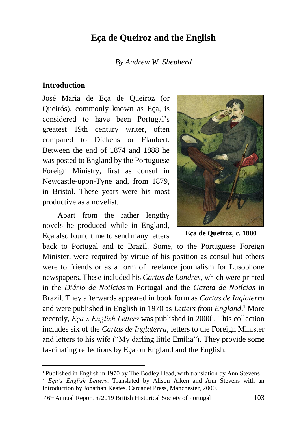# **Eça de Queiroz and the English**

*By Andrew W. Shepherd*

#### **Introduction**

l

José Maria de Eça de Queiroz (or Queirós), commonly known as Eça, is considered to have been Portugal's greatest 19th century writer, often compared to Dickens or Flaubert. Between the end of 1874 and 1888 he was posted to England by the Portuguese Foreign Ministry, first as consul in Newcastle-upon-Tyne and, from 1879, in Bristol. These years were his most productive as a novelist.

Apart from the rather lengthy novels he produced while in England, Eça also found time to send many letters



**Eça de Queiroz, c. 1880**

back to Portugal and to Brazil. Some, to the Portuguese Foreign Minister, were required by virtue of his position as consul but others were to friends or as a form of freelance journalism for Lusophone newspapers. These included his *Cartas de Londres*, which were printed in the *Diário de Notícias* in Portugal and the *Gazeta de Notícias* in Brazil. They afterwards appeared in book form as *Cartas de Inglaterra* and were published in English in 1970 as *Letters from England*. <sup>1</sup> More recently, *Eça's English Letters* was published in 2000<sup>2</sup>. This collection includes six of the *Cartas de Inglaterra*, letters to the Foreign Minister and letters to his wife ("My darling little Emília"). They provide some fascinating reflections by Eça on England and the English.

<sup>1</sup> Published in English in 1970 by The Bodley Head, with translation by Ann Stevens.

<sup>2</sup> *Eça's English Letters*. Translated by Alison Aiken and Ann Stevens with an Introduction by Jonathan Keates. Carcanet Press, Manchester, 2000.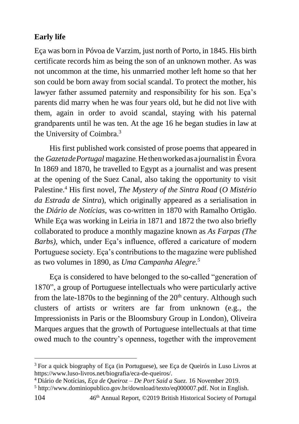## **Early life**

Eça was born in Póvoa de Varzim, just north of Porto, in 1845. His birth certificate records him as being the son of an unknown mother. As was not uncommon at the time, his unmarried mother left home so that her son could be born away from social scandal. To protect the mother, his lawyer father assumed paternity and responsibility for his son. Eça's parents did marry when he was four years old, but he did not live with them, again in order to avoid scandal, staying with his paternal grandparents until he was ten. At the age 16 he began studies in law at the University of Coimbra.<sup>3</sup>

His first published work consisted of prose poems that appeared in the *GazetadePortugal* magazine. Hethenworkedasajournalistin Évora. In 1869 and 1870, he travelled to Egypt as a journalist and was present at the opening of the Suez Canal, also taking the opportunity to visit Palestine.<sup>4</sup> His first novel, *The Mystery of the Sintra Road* (*O Mistério da Estrada de Sintra*), which originally appeared as a serialisation in the *Diário de Notícias*, was co-written in 1870 with Ramalho Ortigão. While Eça was working in Leiria in 1871 and 1872 the two also briefly collaborated to produce a monthly magazine known as *As Farpas (The Barbs),* which, under Eça's influence, offered a caricature of modern Portuguese society. Eça's contributions to the magazine were published as two volumes in 1890, as *Uma Campanha Alegre.<sup>5</sup>*

Eça is considered to have belonged to the so-called "generation of 1870", a group of Portuguese intellectuals who were particularly active from the late-1870s to the beginning of the  $20<sup>th</sup>$  century. Although such clusters of artists or writers are far from unknown (e.g., the Impressionists in Paris or the Bloomsbury Group in London), Oliveira Marques argues that the growth of Portuguese intellectuals at that time owed much to the country's openness, together with the improvement

<sup>3</sup> For a quick biography of Eça (in Portuguese), see Eça de Queirós in Luso Livros at https://www.luso-livros.net/biografia/eca-de-queiros/.

<sup>4</sup> Diário de Notícias, *Eça de Queiroz – De Port Said a Suez.* 16 November 2019.

<sup>5</sup> http://www.dominiopublico.gov.br/download/texto/eq000007.pdf. Not in English.

<sup>104</sup> 46th Annual Report, ©2019 British Historical Society of Portugal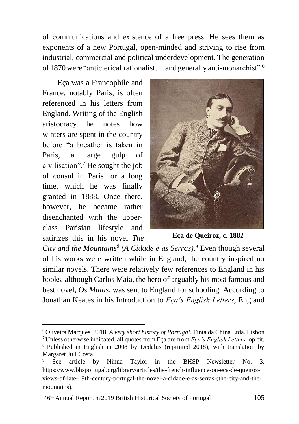of communications and existence of a free press. He sees them as exponents of a new Portugal, open-minded and striving to rise from industrial, commercial and political underdevelopment. The generation of 1870 were "anticlerical rationalist .... and generally anti-monarchist".<sup>6</sup>

Eça was a Francophile and France, notably Paris, is often referenced in his letters from England. Writing of the English aristocracy he notes how winters are spent in the country before "a breather is taken in Paris, a large gulp of civilisation".<sup>7</sup> He sought the job of consul in Paris for a long time, which he was finally granted in 1888. Once there, however, he became rather disenchanted with the upperclass Parisian lifestyle and satirizes this in his novel *The* 

 $\overline{a}$ 



**Eça de Queiroz, c. 1882**

*City and the Mountains<sup>8</sup> (A Cidade e as Serras)*. <sup>9</sup> Even though several of his works were written while in England, the country inspired no similar novels. There were relatively few references to England in his books, although Carlos Maia, the hero of arguably his most famous and best novel, *Os Maias*, was sent to England for schooling. According to Jonathan Keates in his Introduction to *Eça's English Letters*, England

<sup>6</sup> Oliveira Marques. 2018. *A very short history of Portugal.* Tinta da China Ltda. Lisbon

<sup>7</sup> Unless otherwise indicated, all quotes from Eça are from *Eça's English Letters,* op cit. <sup>8</sup> Published in English in 2008 by Dedalus (reprinted 2018), with translation by Margaret Jull Costa.

See article by Ninna Taylor in the BHSP Newsletter No. 3. https://www.bhsportugal.org/library/articles/the-french-influence-on-eca-de-queirozviews-of-late-19th-century-portugal-the-novel-a-cidade-e-as-serras-(the-city-and-themountains).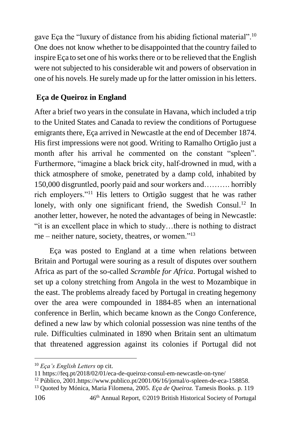gave Eça the "luxury of distance from his abiding fictional material".<sup>10</sup> One does not know whether to be disappointed that the country failed to inspire Eça to set one of his works there or to be relieved that the English were not subjected to his considerable wit and powers of observation in one of his novels. He surely made up for the latter omission in his letters.

## **Eça de Queiroz in England**

After a brief two years in the consulate in Havana, which included a trip to the United States and Canada to review the conditions of Portuguese emigrants there, Eça arrived in Newcastle at the end of December 1874. His first impressions were not good. Writing to Ramalho Ortigão just a month after his arrival he commented on the constant "spleen". Furthermore, "imagine a black brick city, half-drowned in mud, with a thick atmosphere of smoke, penetrated by a damp cold, inhabited by 150,000 disgruntled, poorly paid and sour workers and………. horribly rich employers."<sup>11</sup> His letters to Ortigão suggest that he was rather lonely, with only one significant friend, the Swedish Consul.<sup>12</sup> In another letter, however, he noted the advantages of being in Newcastle: "it is an excellent place in which to study…there is nothing to distract me – neither nature, society, theatres, or women."<sup>13</sup>

Eça was posted to England at a time when relations between Britain and Portugal were souring as a result of disputes over southern Africa as part of the so-called *Scramble for Africa*. Portugal wished to set up a colony stretching from Angola in the west to Mozambique in the east. The problems already faced by Portugal in creating hegemony over the area were compounded in 1884-85 when an international conference in Berlin, which became known as the Congo Conference, defined a new law by which colonial possession was nine tenths of the rule. Difficulties culminated in 1890 when Britain sent an ultimatum that threatened aggression against its colonies if Portugal did not

<sup>10</sup> *Eça's English Letters* op cit.

<sup>11</sup> https://feq.pt/2018/02/01/eca-de-queiroz-consul-em-newcastle-on-tyne/

<sup>12</sup> Público, 2001.https://www.publico.pt/2001/06/16/jornal/o-spleen-de-eca-158858.

<sup>13</sup> Quoted by Mónica, Maria Filomena, 2005. *Eça de Queiroz.* Tamesis Books. p. 119

<sup>106</sup> 46th Annual Report, ©2019 British Historical Society of Portugal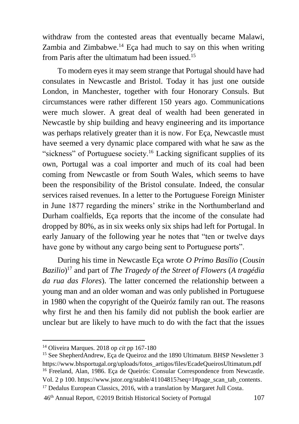withdraw from the contested areas that eventually became Malawi, Zambia and Zimbabwe.<sup>14</sup> Eça had much to say on this when writing from Paris after the ultimatum had been issued.<sup>15</sup>

To modern eyes it may seem strange that Portugal should have had consulates in Newcastle and Bristol. Today it has just one outside London, in Manchester, together with four Honorary Consuls. But circumstances were rather different 150 years ago. Communications were much slower. A great deal of wealth had been generated in Newcastle by ship building and heavy engineering and its importance was perhaps relatively greater than it is now. For Eça, Newcastle must have seemed a very dynamic place compared with what he saw as the "sickness" of Portuguese society.<sup>16</sup> Lacking significant supplies of its own, Portugal was a coal importer and much of its coal had been coming from Newcastle or from South Wales, which seems to have been the responsibility of the Bristol consulate. Indeed, the consular services raised revenues. In a letter to the Portuguese Foreign Minister in June 1877 regarding the miners' strike in the Northumberland and Durham coalfields, Eça reports that the income of the consulate had dropped by 80%, as in six weeks only six ships had left for Portugal. In early January of the following year he notes that "ten or twelve days have gone by without any cargo being sent to Portuguese ports".

During his time in Newcastle Eça wrote *O Primo Basílio* (*Cousin Bazilio*) <sup>17</sup> and part of *The Tragedy of the Street of Flowers* (*A tragédia da rua das Flores*). The latter concerned the relationship between a young man and an older woman and was only published in Portuguese in 1980 when the copyright of the Queiróz family ran out. The reasons why first he and then his family did not publish the book earlier are unclear but are likely to have much to do with the fact that the issues

 $\overline{a}$ 

<sup>17</sup> Dedalus European Classics, 2016, with a translation by Margaret Jull Costa.

<sup>14</sup> Oliveira Marques. 2018 op *cit* pp 167-180

<sup>15</sup> See ShepherdAndrew, Eça de Queiroz and the 1890 Ultimatum. BHSP Newsletter 3 https://www.bhsportugal.org/uploads/fotos\_artigos/files/EcadeQueirosUltimatum.pdf <sup>16</sup> Freeland, Alan, 1986. Eça de Queirós: Consular Correspondence from Newcastle. Vol. 2 p 100. https://www.jstor.org/stable/41104815?seq=1#page\_scan\_tab\_contents.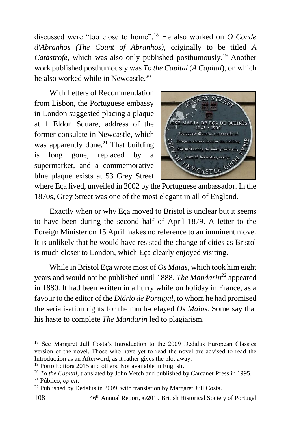discussed were "too close to home".<sup>18</sup> He also worked on *O Conde d'Abranhos (The Count of Abranhos),* originally to be titled *A Catástrofe,* which was also only published posthumously.<sup>19</sup> Another work published posthumously was *To the Capital* (*A Capital*), on which he also worked while in Newcastle.<sup>20</sup>

With Letters of Recommendation from Lisbon, the Portuguese embassy in London suggested placing a plaque at 1 Eldon Square, address of the former consulate in Newcastle, which was apparently done. $21$  That building is long gone, replaced by a supermarket, and a commemorative blue plaque exists at 53 Grey Street



where Eça lived, unveiled in 2002 by the Portuguese ambassador. In the 1870s, Grey Street was one of the most elegant in all of England.

Exactly when or why Eça moved to Bristol is unclear but it seems to have been during the second half of April 1879. A letter to the Foreign Minister on 15 April makes no reference to an imminent move. It is unlikely that he would have resisted the change of cities as Bristol is much closer to London, which Eça clearly enjoyed visiting.

While in Bristol Eça wrote most of *Os Maias,* which took him eight years and would not be published until 1888. *The Mandarin<sup>22</sup>* appeared in 1880. It had been written in a hurry while on holiday in France, as a favour to the editor of the *Diário de Portugal,* to whom he had promised the serialisation rights for the much-delayed *Os Maias.* Some say that his haste to complete *The Mandarin* led to plagiarism.

<sup>18</sup> See Margaret Jull Costa's Introduction to the 2009 Dedalus European Classics version of the novel. Those who have yet to read the novel are advised to read the Introduction as an Afterword, as it rather gives the plot away.

<sup>19</sup> Porto Editora 2015 and others. Not available in English.

<sup>20</sup> *To the Capital*, translated by John Vetch and published by Carcanet Press in 1995. <sup>21</sup> Público, *op cit*.

<sup>&</sup>lt;sup>22</sup> Published by Dedalus in 2009, with translation by Margaret Jull Costa.

<sup>108</sup> 46th Annual Report, ©2019 British Historical Society of Portugal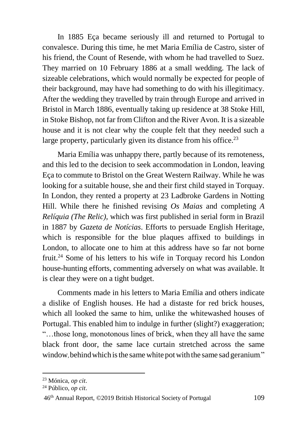In 1885 Eça became seriously ill and returned to Portugal to convalesce. During this time, he met Maria Emília de Castro, sister of his friend, the Count of Resende, with whom he had travelled to Suez. They married on 10 February 1886 at a small wedding. The lack of sizeable celebrations, which would normally be expected for people of their background, may have had something to do with his illegitimacy. After the wedding they travelled by train through Europe and arrived in Bristol in March 1886, eventually taking up residence at 38 Stoke Hill, in Stoke Bishop, not far from Clifton and the River Avon. It is a sizeable house and it is not clear why the couple felt that they needed such a large property, particularly given its distance from his office.<sup>23</sup>

Maria Emília was unhappy there, partly because of its remoteness, and this led to the decision to seek accommodation in London, leaving Eça to commute to Bristol on the Great Western Railway. While he was looking for a suitable house, she and their first child stayed in Torquay. In London, they rented a property at 23 Ladbroke Gardens in Notting Hill. While there he finished revising *Os Maias* and completing *A Relíquia (The Relic),* which was first published in serial form in Brazil in 1887 by *Gazeta de Notícias*. Efforts to persuade English Heritage, which is responsible for the blue plaques affixed to buildings in London, to allocate one to him at this address have so far not borne fruit.<sup>24</sup> Some of his letters to his wife in Torquay record his London house-hunting efforts, commenting adversely on what was available. It is clear they were on a tight budget.

Comments made in his letters to Maria Emília and others indicate a dislike of English houses. He had a distaste for red brick houses, which all looked the same to him, unlike the whitewashed houses of Portugal. This enabled him to indulge in further (slight?) exaggeration; "…those long, monotonous lines of brick, when they all have the same black front door, the same lace curtain stretched across the same window, behind which is the same white pot with the same sad geranium."

<sup>23</sup> Mónica, *op cit*.

<sup>24</sup> Público, *op cit*.

<sup>46</sup>th Annual Report, ©2019 British Historical Society of Portugal 109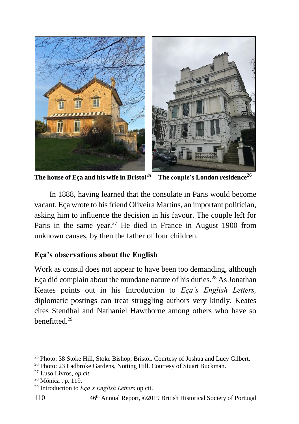

**The house of Eça and his wife in Bristol<sup>25</sup> The couple's London residence<sup>26</sup>**

In 1888, having learned that the consulate in Paris would become vacant, Eça wrote to his friend Oliveira Martins, an important politician, asking him to influence the decision in his favour. The couple left for Paris in the same year.<sup>27</sup> He died in France in August 1900 from unknown causes, by then the father of four children.

### **Eça's observations about the English**

Work as consul does not appear to have been too demanding, although Eça did complain about the mundane nature of his duties.<sup>28</sup> As Jonathan Keates points out in his Introduction to *Eça's English Letters,*  diplomatic postings can treat struggling authors very kindly. Keates cites Stendhal and Nathaniel Hawthorne among others who have so  $h$ enefitted.<sup>29</sup>

<sup>25</sup> Photo: 38 Stoke Hill, Stoke Bishop, Bristol. Courtesy of Joshua and Lucy Gilbert.

<sup>26</sup> Photo: 23 Ladbroke Gardens, Notting Hill. Courtesy of Stuart Buckman.

<sup>27</sup> Luso Livros, *op cit*.

<sup>28</sup> Mónica , p. 119.

<sup>29</sup> Introduction to *Eça's English Letters* op cit.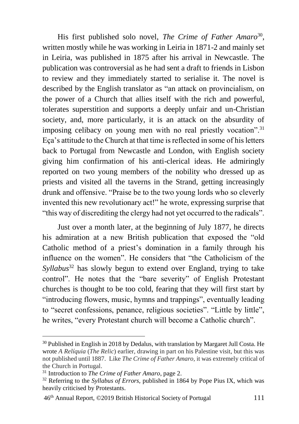His first published solo novel, *The Crime of Father Amaro*<sup>30</sup> , written mostly while he was working in Leiria in 1871-2 and mainly set in Leiria, was published in 1875 after his arrival in Newcastle. The publication was controversial as he had sent a draft to friends in Lisbon to review and they immediately started to serialise it. The novel is described by the English translator as "an attack on provincialism, on the power of a Church that allies itself with the rich and powerful, tolerates superstition and supports a deeply unfair and un-Christian society, and, more particularly, it is an attack on the absurdity of imposing celibacy on young men with no real priestly vocation".<sup>31</sup> Eça's attitude to the Church at that time is reflected in some of his letters back to Portugal from Newcastle and London, with English society giving him confirmation of his anti-clerical ideas. He admiringly reported on two young members of the nobility who dressed up as priests and visited all the taverns in the Strand, getting increasingly drunk and offensive. "Praise be to the two young lords who so cleverly invented this new revolutionary act!" he wrote, expressing surprise that "this way of discrediting the clergy had not yet occurred to the radicals".

Just over a month later, at the beginning of July 1877, he directs his admiration at a new British publication that exposed the "old Catholic method of a priest's domination in a family through his influence on the women". He considers that "the Catholicism of the *Syllabus*<sup>32</sup> has slowly begun to extend over England, trying to take control". He notes that the "bare severity" of English Protestant churches is thought to be too cold, fearing that they will first start by "introducing flowers, music, hymns and trappings", eventually leading to "secret confessions, penance, religious societies". "Little by little", he writes, "every Protestant church will become a Catholic church".

<sup>&</sup>lt;sup>30</sup> Published in English in 2018 by Dedalus, with translation by Margaret Jull Costa. He wrote *A Relíquia* (*The Relic*) earlier, drawing in part on his Palestine visit, but this was not published until 1887. Like *The Crime of Father Amaro,* it was extremely critical of the Church in Portugal.

<sup>31</sup> Introduction to *The Crime of Father Amaro*, page 2.

<sup>32</sup> Referring to the *Syllabus of Errors,* published in 1864 by Pope Pius IX, which was heavily criticised by Protestants.

<sup>46</sup>th Annual Report, ©2019 British Historical Society of Portugal 111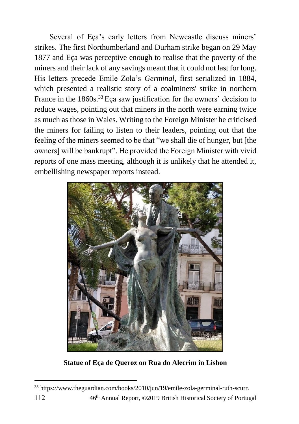Several of Eça's early letters from Newcastle discuss miners' strikes. The first Northumberland and Durham strike began on 29 May 1877 and Eça was perceptive enough to realise that the poverty of the miners and their lack of any savings meant that it could not last for long. His letters precede Emile Zola's *Germinal*, first serialized in 1884, which presented a realistic story of a coalminers' strike in northern France in the 1860s.<sup>33</sup> Eça saw justification for the owners' decision to reduce wages, pointing out that miners in the north were earning twice as much as those in Wales. Writing to the Foreign Minister he criticised the miners for failing to listen to their leaders, pointing out that the feeling of the miners seemed to be that "we shall die of hunger, but [the owners] will be bankrupt". He provided the Foreign Minister with vivid reports of one mass meeting, although it is unlikely that he attended it, embellishing newspaper reports instead.



**Statue of Eça de Queroz on Rua do Alecrim in Lisbon**

<sup>112</sup> 46th Annual Report, ©2019 British Historical Society of Portugal <sup>33</sup> https://www.theguardian.com/books/2010/jun/19/emile-zola-germinal-ruth-scurr.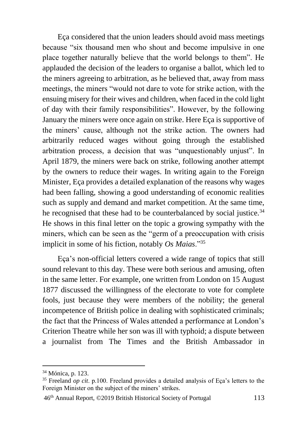Eça considered that the union leaders should avoid mass meetings because "six thousand men who shout and become impulsive in one place together naturally believe that the world belongs to them". He applauded the decision of the leaders to organise a ballot, which led to the miners agreeing to arbitration, as he believed that, away from mass meetings, the miners "would not dare to vote for strike action, with the ensuing misery for their wives and children, when faced in the cold light of day with their family responsibilities". However, by the following January the miners were once again on strike. Here Eça is supportive of the miners' cause, although not the strike action. The owners had arbitrarily reduced wages without going through the established arbitration process, a decision that was "unquestionably unjust". In April 1879, the miners were back on strike, following another attempt by the owners to reduce their wages. In writing again to the Foreign Minister, Eça provides a detailed explanation of the reasons why wages had been falling, showing a good understanding of economic realities such as supply and demand and market competition. At the same time, he recognised that these had to be counterbalanced by social justice.<sup>34</sup> He shows in this final letter on the topic a growing sympathy with the miners, which can be seen as the "germ of a preoccupation with crisis implicit in some of his fiction, notably *Os Maias*."<sup>35</sup>

Eça's non-official letters covered a wide range of topics that still sound relevant to this day. These were both serious and amusing, often in the same letter. For example, one written from London on 15 August 1877 discussed the willingness of the electorate to vote for complete fools, just because they were members of the nobility; the general incompetence of British police in dealing with sophisticated criminals; the fact that the Princess of Wales attended a performance at London's Criterion Theatre while her son was ill with typhoid; a dispute between a journalist from The Times and the British Ambassador in

l

<sup>34</sup> Mónica, p. 123.

<sup>35</sup> Freeland *op cit*. p.100. Freeland provides a detailed analysis of Eça's letters to the Foreign Minister on the subject of the miners' strikes.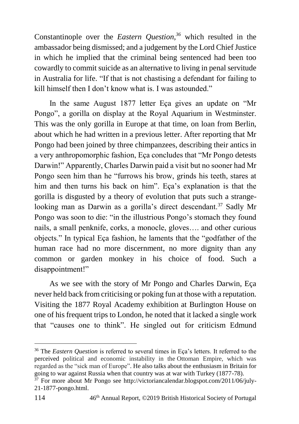Constantinople over the *Eastern Question,<sup>36</sup>* which resulted in the ambassador being dismissed; and a judgement by the Lord Chief Justice in which he implied that the criminal being sentenced had been too cowardly to commit suicide as an alternative to living in penal servitude in Australia for life. "If that is not chastising a defendant for failing to kill himself then I don't know what is. I was astounded."

In the same August 1877 letter Eça gives an update on "Mr Pongo", a gorilla on display at the Royal Aquarium in Westminster. This was the only gorilla in Europe at that time, on loan from Berlin, about which he had written in a previous letter. After reporting that Mr Pongo had been joined by three chimpanzees, describing their antics in a very anthropomorphic fashion, Eça concludes that "Mr Pongo detests Darwin!" Apparently, Charles Darwin paid a visit but no sooner had Mr Pongo seen him than he "furrows his brow, grinds his teeth, stares at him and then turns his back on him". Eça's explanation is that the gorilla is disgusted by a theory of evolution that puts such a strangelooking man as Darwin as a gorilla's direct descendant.<sup>37</sup> Sadly Mr Pongo was soon to die: "in the illustrious Pongo's stomach they found nails, a small penknife, corks, a monocle, gloves…. and other curious objects." In typical Eça fashion, he laments that the "godfather of the human race had no more discernment, no more dignity than any common or garden monkey in his choice of food. Such a disappointment!"

As we see with the story of Mr Pongo and Charles Darwin, Eça never held back from criticising or poking fun at those with a reputation. Visiting the 1877 Royal Academy exhibition at Burlington House on one of his frequent trips to London, he noted that it lacked a single work that "causes one to think". He singled out for criticism Edmund

<sup>36</sup> The *Eastern Question* is referred to several times in Eça's letters. It referred to the perceived political and economic instability in the Ottoman Empire, which was regarded as the "sick man of Europe". He also talks about the enthusiasm in Britain for going to war against Russia when that country was at war with Turkey (1877-78).

<sup>37</sup> For more about Mr Pongo see http://victoriancalendar.blogspot.com/2011/06/july-21-1877-pongo.html.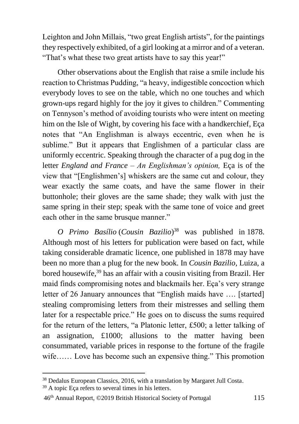Leighton and John Millais, "two great English artists", for the paintings they respectively exhibited, of a girl looking at a mirror and of a veteran. "That's what these two great artists have to say this year!"

Other observations about the English that raise a smile include his reaction to Christmas Pudding, "a heavy, indigestible concoction which everybody loves to see on the table, which no one touches and which grown-ups regard highly for the joy it gives to children." Commenting on Tennyson's method of avoiding tourists who were intent on meeting him on the Isle of Wight, by covering his face with a handkerchief, Eça notes that "An Englishman is always eccentric, even when he is sublime." But it appears that Englishmen of a particular class are uniformly eccentric. Speaking through the character of a pug dog in the letter *England and France – An Englishman's opinion,* Eça is of the view that "[Englishmen's] whiskers are the same cut and colour, they wear exactly the same coats, and have the same flower in their buttonhole; their gloves are the same shade; they walk with just the same spring in their step; speak with the same tone of voice and greet each other in the same brusque manner."

*O Primo Basílio* (*Cousin Bazilio*) <sup>38</sup> was published in 1878. Although most of his letters for publication were based on fact, while taking considerable dramatic licence, one published in 1878 may have been no more than a plug for the new book. In *Cousin Bazilio,* Luiza, a bored housewife,<sup>39</sup> has an affair with a cousin visiting from Brazil. Her maid finds compromising notes and blackmails her. Eça's very strange letter of 26 January announces that "English maids have …. [started] stealing compromising letters from their mistresses and selling them later for a respectable price." He goes on to discuss the sums required for the return of the letters, "a Platonic letter, £500; a letter talking of an assignation, £1000; allusions to the matter having been consummated, variable prices in response to the fortune of the fragile wife…… Love has become such an expensive thing." This promotion

<sup>39</sup> A topic Eça refers to several times in his letters.

 $\overline{a}$ 

<sup>38</sup> Dedalus European Classics, 2016, with a translation by Margaret Jull Costa.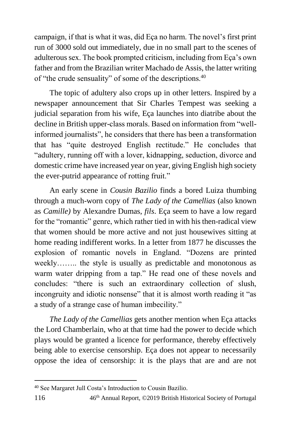campaign, if that is what it was, did Eça no harm. The novel's first print run of 3000 sold out immediately, due in no small part to the scenes of adulterous sex. The book prompted criticism, including from Eça's own father and from the Brazilian writer Machado de Assis, the latter writing of "the crude sensuality" of some of the descriptions.<sup>40</sup>

The topic of adultery also crops up in other letters. Inspired by a newspaper announcement that Sir Charles Tempest was seeking a judicial separation from his wife, Eça launches into diatribe about the decline in British upper-class morals. Based on information from "wellinformed journalists", he considers that there has been a transformation that has "quite destroyed English rectitude." He concludes that "adultery, running off with a lover, kidnapping, seduction, divorce and domestic crime have increased year on year, giving English high society the ever-putrid appearance of rotting fruit."

An early scene in *Cousin Bazilio* finds a bored Luiza thumbing through a much-worn copy of *The Lady of the Camellias* (also known as *Camille)* by Alexandre Dumas, *fils*. Eça seem to have a low regard for the "romantic" genre, which rather tied in with his then-radical view that women should be more active and not just housewives sitting at home reading indifferent works. In a letter from 1877 he discusses the explosion of romantic novels in England. "Dozens are printed weekly…….. the style is usually as predictable and monotonous as warm water dripping from a tap." He read one of these novels and concludes: "there is such an extraordinary collection of slush, incongruity and idiotic nonsense" that it is almost worth reading it "as a study of a strange case of human imbecility."

*The Lady of the Camellias* gets another mention when Eça attacks the Lord Chamberlain, who at that time had the power to decide which plays would be granted a licence for performance, thereby effectively being able to exercise censorship. Eça does not appear to necessarily oppose the idea of censorship: it is the plays that are and are not

<sup>40</sup> See Margaret Jull Costa's Introduction to Cousin Bazilio.

<sup>116</sup> 46th Annual Report, ©2019 British Historical Society of Portugal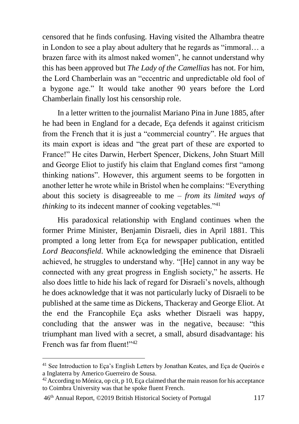censored that he finds confusing. Having visited the Alhambra theatre in London to see a play about adultery that he regards as "immoral… a brazen farce with its almost naked women", he cannot understand why this has been approved but *The Lady of the Camellias* has not. For him, the Lord Chamberlain was an "eccentric and unpredictable old fool of a bygone age." It would take another 90 years before the Lord Chamberlain finally lost his censorship role.

In a letter written to the journalist Mariano Pina in June 1885, after he had been in England for a decade, Eça defends it against criticism from the French that it is just a "commercial country". He argues that its main export is ideas and "the great part of these are exported to France!" He cites Darwin, Herbert Spencer, Dickens, John Stuart Mill and George Eliot to justify his claim that England comes first "among thinking nations". However, this argument seems to be forgotten in another letter he wrote while in Bristol when he complains: "Everything about this society is disagreeable to me – *from its limited ways of thinking* to its indecent manner of cooking vegetables."<sup>41</sup>

His paradoxical relationship with England continues when the former Prime Minister, Benjamin Disraeli, dies in April 1881. This prompted a long letter from Eça for newspaper publication, entitled *Lord Beaconsfield*. While acknowledging the eminence that Disraeli achieved, he struggles to understand why. "[He] cannot in any way be connected with any great progress in English society," he asserts. He also does little to hide his lack of regard for Disraeli's novels, although he does acknowledge that it was not particularly lucky of Disraeli to be published at the same time as Dickens, Thackeray and George Eliot. At the end the Francophile Eça asks whether Disraeli was happy, concluding that the answer was in the negative, because: "this triumphant man lived with a secret, a small, absurd disadvantage: his French was far from fluent!"<sup>42</sup>

46th Annual Report, ©2019 British Historical Society of Portugal 117

<sup>&</sup>lt;sup>41</sup> See Introduction to Eça's English Letters by Jonathan Keates, and Eça de Queirós e a Inglaterra by Americo Guerreiro de Sousa.

 $42$  According to Mónica, op cit, p 10, Eca claimed that the main reason for his acceptance to Coimbra University was that he spoke fluent French.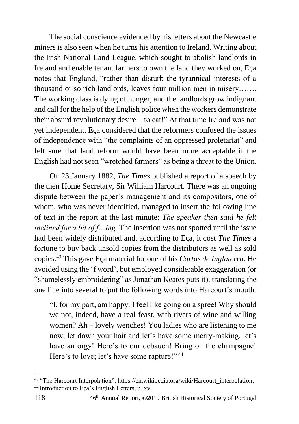The social conscience evidenced by his letters about the Newcastle miners is also seen when he turns his attention to Ireland. Writing about the Irish National Land League, which sought to abolish landlords in Ireland and enable tenant farmers to own the land they worked on, Eça notes that England, "rather than disturb the tyrannical interests of a thousand or so rich landlords, leaves four million men in misery……. The working class is dying of hunger, and the landlords grow indignant and call for the help of the English police when the workers demonstrate their absurd revolutionary desire – to eat!" At that time Ireland was not yet independent. Eça considered that the reformers confused the issues of independence with "the complaints of an oppressed proletariat" and felt sure that land reform would have been more acceptable if the English had not seen "wretched farmers" as being a threat to the Union.

On 23 January 1882, *The Times* published a report of a speech by the then Home Secretary, Sir William Harcourt. There was an ongoing dispute between the paper's management and its compositors, one of whom, who was never identified, managed to insert the following line of text in the report at the last minute: *The speaker then said he felt inclined for a bit of f…ing.* The insertion was not spotted until the issue had been widely distributed and, according to Eça, it cost *The Times* a fortune to buy back unsold copies from the distributors as well as sold copies.<sup>43</sup> This gave Eça material for one of his *Cartas de Inglaterra*. He avoided using the 'f word', but employed considerable exaggeration (or "shamelessly embroidering" as Jonathan Keates puts it), translating the one line into several to put the following words into Harcourt's mouth:

"I, for my part, am happy. I feel like going on a spree! Why should we not, indeed, have a real feast, with rivers of wine and willing women? Ah – lovely wenches! You ladies who are listening to me now, let down your hair and let's have some merry-making, let's have an orgy! Here's to our debauch! Bring on the champagne! Here's to love; let's have some rapture!"<sup>44</sup>

<sup>43 &</sup>quot;The Harcourt Interpolation". https://en.wikipedia.org/wiki/Harcourt\_interpolation. <sup>44</sup> Introduction to Eça's English Letters, p. xv.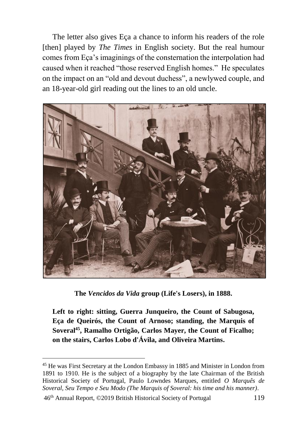The letter also gives Eça a chance to inform his readers of the role [then] played by *The Times* in English society. But the real humour comes from Eça's imaginings of the consternation the interpolation had caused when it reached "those reserved English homes." He speculates on the impact on an "old and devout duchess", a newlywed couple, and an 18-year-old girl reading out the lines to an old uncle.



**The** *Vencidos da Vida* **group (Life's Losers), in 1888.**

**Left to right: sitting, Guerra Junqueiro, the Count of Sabugosa, Eça de Queirós, the Count of Arnoso; standing, the Marquis of Soveral<sup>45</sup>, Ramalho Ortigão, Carlos Mayer, the Count of Ficalho; on the stairs, Carlos Lobo d'Ávila, and Oliveira Martins.**

46th Annual Report, ©2019 British Historical Society of Portugal 119

<sup>45</sup> He was First Secretary at the London Embassy in 1885 and Minister in London from 1891 to 1910. He is the subject of a biography by the late Chairman of the British Historical Society of Portugal, Paulo Lowndes Marques, entitled *O Marquês de Soveral, Seu Tempo e Seu Modo (The Marquis of Soveral: his time and his manner)*.